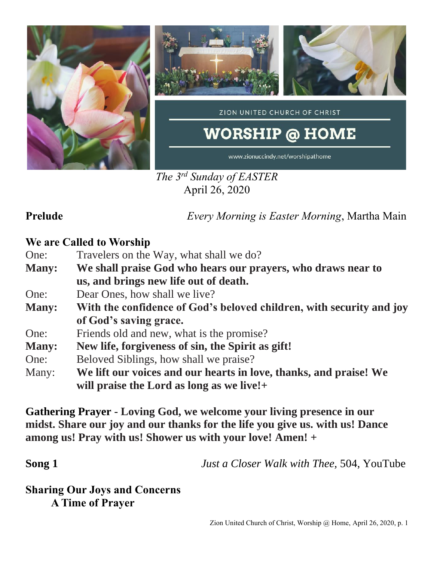

*The 3 rd Sunday of EASTER* April 26, 2020

**Prelude** *Every Morning is Easter Morning*, Martha Main

## **We are Called to Worship**

- One: Travelers on the Way, what shall we do?
- **Many: We shall praise God who hears our prayers, who draws near to us, and brings new life out of death.**
- One: Dear Ones, how shall we live?
- **Many: With the confidence of God's beloved children, with security and joy of God's saving grace.**
- One: Friends old and new, what is the promise?
- **Many: New life, forgiveness of sin, the Spirit as gift!**
- One: Beloved Siblings, how shall we praise?
- Many: **We lift our voices and our hearts in love, thanks, and praise! We will praise the Lord as long as we live!+**

**Gathering Prayer** - **Loving God, we welcome your living presence in our midst. Share our joy and our thanks for the life you give us. with us! Dance among us! Pray with us! Shower us with your love! Amen! +**

**Song 1** *<i>Just a Closer Walk with Thee,* 504, YouTube

**Sharing Our Joys and Concerns A Time of Prayer**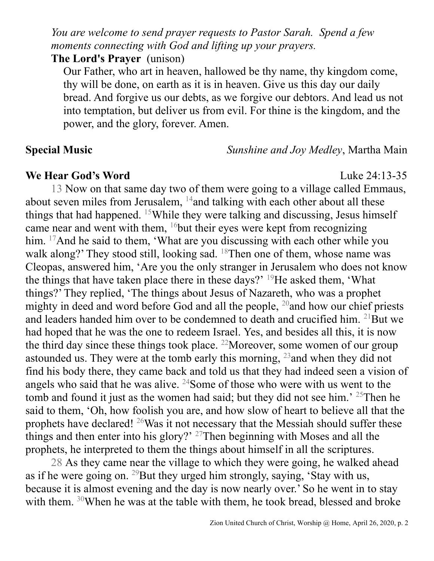*You are welcome to send prayer requests to Pastor Sarah. Spend a few moments connecting with God and lifting up your prayers.*

### **The Lord's Prayer** (unison)

Our Father, who art in heaven, hallowed be thy name, thy kingdom come, thy will be done, on earth as it is in heaven. Give us this day our daily bread. And forgive us our debts, as we forgive our debtors. And lead us not into temptation, but deliver us from evil. For thine is the kingdom, and the power, and the glory, forever. Amen.

**Special Music** *Sunshine and Joy Medley*, Martha Main

## **We Hear God's Word** Luke 24:13-35

13 Now on that same day two of them were going to a village called Emmaus, about seven miles from Jerusalem, <sup>14</sup>and talking with each other about all these things that had happened. <sup>15</sup>While they were talking and discussing, Jesus himself came near and went with them,  $16$  but their eyes were kept from recognizing him. <sup>17</sup>And he said to them, 'What are you discussing with each other while you walk along?' They stood still, looking sad. <sup>18</sup>Then one of them, whose name was Cleopas, answered him, 'Are you the only stranger in Jerusalem who does not know the things that have taken place there in these days?'  $^{19}$ He asked them, 'What things?' They replied, 'The things about Jesus of Nazareth, who was a prophet mighty in deed and word before God and all the people, <sup>20</sup>and how our chief priests and leaders handed him over to be condemned to death and crucified him. <sup>21</sup>But we had hoped that he was the one to redeem Israel. Yes, and besides all this, it is now the third day since these things took place. <sup>22</sup>Moreover, some women of our group astounded us. They were at the tomb early this morning,  $^{23}$  and when they did not find his body there, they came back and told us that they had indeed seen a vision of angels who said that he was alive.  $24$ Some of those who were with us went to the tomb and found it just as the women had said; but they did not see him.<sup> $25$ </sup>Then he said to them, 'Oh, how foolish you are, and how slow of heart to believe all that the prophets have declared! <sup>26</sup>Was it not necessary that the Messiah should suffer these things and then enter into his glory?' <sup>27</sup>Then beginning with Moses and all the prophets, he interpreted to them the things about himself in all the scriptures.

28 As they came near the village to which they were going, he walked ahead as if he were going on. <sup>29</sup>But they urged him strongly, saying, 'Stay with us, because it is almost evening and the day is now nearly over.' So he went in to stay with them. <sup>30</sup>When he was at the table with them, he took bread, blessed and broke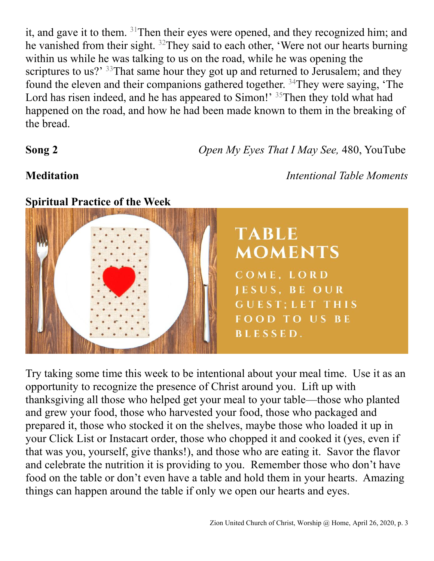it, and gave it to them. <sup>31</sup>Then their eyes were opened, and they recognized him; and he vanished from their sight. <sup>32</sup>They said to each other, 'Were not our hearts burning within us while he was talking to us on the road, while he was opening the scriptures to us?' <sup>33</sup>That same hour they got up and returned to Jerusalem; and they found the eleven and their companions gathered together. <sup>34</sup>They were saying, 'The Lord has risen indeed, and he has appeared to Simon!' <sup>35</sup>Then they told what had happened on the road, and how he had been made known to them in the breaking of the bread.

**Song 2** *Open My Eyes That I May See,* 480, YouTube

**Meditation** *Intentional Table Moments*



Try taking some time this week to be intentional about your meal time. Use it as an opportunity to recognize the presence of Christ around you. Lift up with thanksgiving all those who helped get your meal to your table—those who planted and grew your food, those who harvested your food, those who packaged and prepared it, those who stocked it on the shelves, maybe those who loaded it up in your Click List or Instacart order, those who chopped it and cooked it (yes, even if that was you, yourself, give thanks!), and those who are eating it. Savor the flavor and celebrate the nutrition it is providing to you. Remember those who don't have food on the table or don't even have a table and hold them in your hearts. Amazing things can happen around the table if only we open our hearts and eyes.

## **Spiritual Practice of the Week**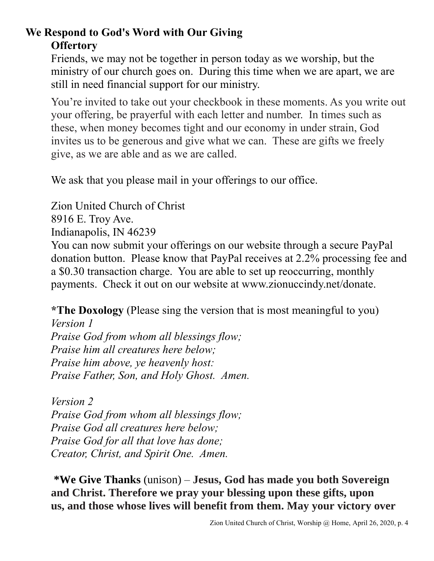# **We Respond to God's Word with Our Giving Offertory**

Friends, we may not be together in person today as we worship, but the ministry of our church goes on. During this time when we are apart, we are still in need financial support for our ministry.

You're invited to take out your checkbook in these moments. As you write out your offering, be prayerful with each letter and number. In times such as these, when money becomes tight and our economy in under strain, God invites us to be generous and give what we can. These are gifts we freely give, as we are able and as we are called.

We ask that you please mail in your offerings to our office.

Zion United Church of Christ 8916 E. Troy Ave. Indianapolis, IN 46239 You can now submit your offerings on our website through a secure PayPal donation button. Please know that PayPal receives at 2.2% processing fee and a \$0.30 transaction charge. You are able to set up reoccurring, monthly payments. Check it out on our website at www.zionuccindy.net/donate.

**\*The Doxology** (Please sing the version that is most meaningful to you)

*Version 1 Praise God from whom all blessings flow; Praise him all creatures here below; Praise him above, ye heavenly host: Praise Father, Son, and Holy Ghost. Amen.*

*Version 2 Praise God from whom all blessings flow; Praise God all creatures here below; Praise God for all that love has done; Creator, Christ, and Spirit One. Amen.* 

**\*We Give Thanks** (unison) – **Jesus, God has made you both Sovereign and Christ. Therefore we pray your blessing upon these gifts, upon us, and those whose lives will benefit from them. May your victory over**